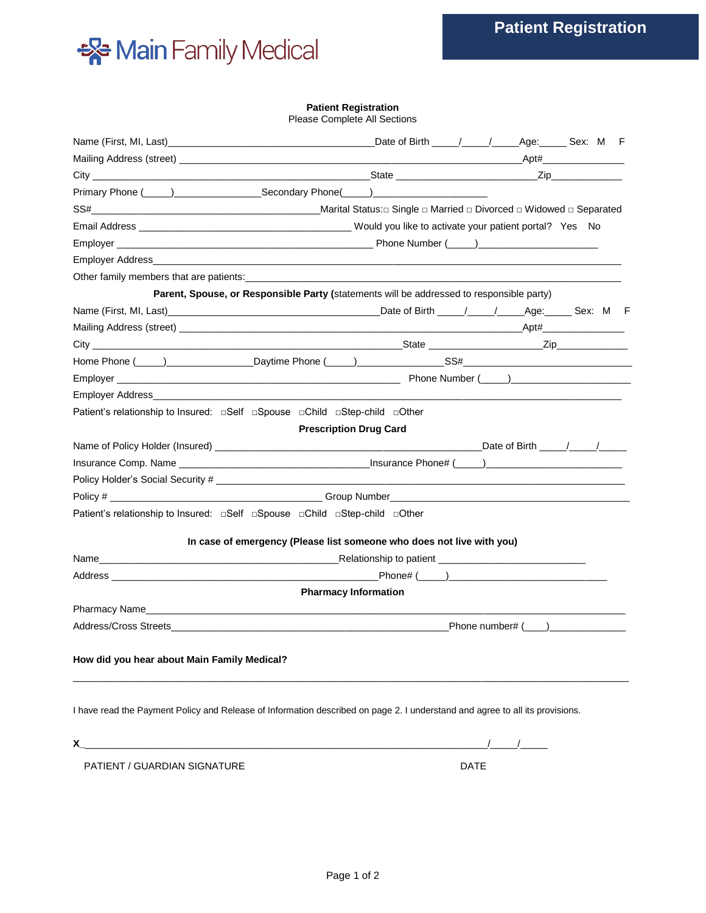

## **Patient Registration**

Please Complete All Sections

| Name (First, MI, Last) <b>All Example 2</b> Date of Birth <i>All Age</i> : Sex: M F                                          |                                                                                          |      |                        |
|------------------------------------------------------------------------------------------------------------------------------|------------------------------------------------------------------------------------------|------|------------------------|
|                                                                                                                              |                                                                                          |      |                        |
|                                                                                                                              |                                                                                          |      |                        |
|                                                                                                                              |                                                                                          |      |                        |
|                                                                                                                              |                                                                                          |      |                        |
|                                                                                                                              |                                                                                          |      |                        |
|                                                                                                                              |                                                                                          |      |                        |
|                                                                                                                              |                                                                                          |      |                        |
|                                                                                                                              |                                                                                          |      |                        |
|                                                                                                                              | Parent, Spouse, or Responsible Party (statements will be addressed to responsible party) |      |                        |
|                                                                                                                              |                                                                                          |      |                        |
|                                                                                                                              |                                                                                          |      |                        |
|                                                                                                                              |                                                                                          |      |                        |
|                                                                                                                              |                                                                                          |      |                        |
|                                                                                                                              |                                                                                          |      |                        |
|                                                                                                                              |                                                                                          |      |                        |
| Patient's relationship to Insured: □Self □Spouse □Child □Step-child □Other                                                   |                                                                                          |      |                        |
|                                                                                                                              | <b>Prescription Drug Card</b>                                                            |      |                        |
|                                                                                                                              |                                                                                          |      |                        |
|                                                                                                                              |                                                                                          |      |                        |
|                                                                                                                              |                                                                                          |      |                        |
|                                                                                                                              |                                                                                          |      |                        |
| Patient's relationship to Insured:  □ Self  □ Spouse  □ Child □ Step-child □ Other                                           |                                                                                          |      |                        |
|                                                                                                                              | In case of emergency (Please list someone who does not live with you)                    |      |                        |
|                                                                                                                              |                                                                                          |      |                        |
|                                                                                                                              |                                                                                          |      |                        |
|                                                                                                                              | <b>Pharmacy Information</b>                                                              |      |                        |
| Pharmacy Name <b>Example 2018</b>                                                                                            |                                                                                          |      |                        |
| Address/Cross Streets <b>Example 2018</b>                                                                                    |                                                                                          |      | Phone number# $(\_\_)$ |
|                                                                                                                              |                                                                                          |      |                        |
| How did you hear about Main Family Medical?                                                                                  |                                                                                          |      |                        |
|                                                                                                                              |                                                                                          |      |                        |
| I have read the Payment Policy and Release of Information described on page 2. I understand and agree to all its provisions. |                                                                                          |      |                        |
|                                                                                                                              | <u> 1980 - John Stein, Amerikaansk politiker (</u>                                       |      |                        |
| PATIENT / GUARDIAN SIGNATURE                                                                                                 |                                                                                          | DATE |                        |